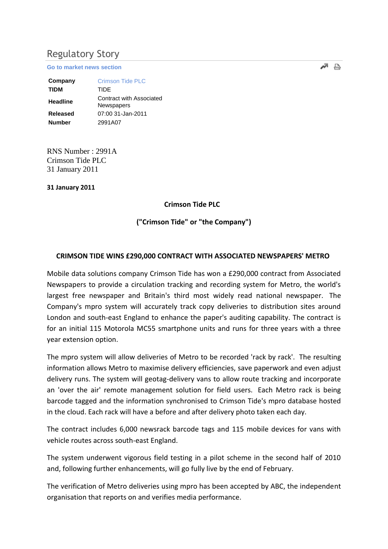# Regulatory Story

**[Go to market news section](javascript:%20sendto()**

| Company         | <b>Crimson Tide PLC</b>                |
|-----------------|----------------------------------------|
| <b>TIDM</b>     | TIDE                                   |
| <b>Headline</b> | Contract with Associated<br>Newspapers |
| Released        | 07:00 31-Jan-2011                      |
| <b>Number</b>   | 2991A07                                |

RNS Number : 2991A Crimson Tide PLC 31 January 2011

**31 January 2011**

#### **Crimson Tide PLC**

**("Crimson Tide" or "the Company")**

#### **CRIMSON TIDE WINS £290,000 CONTRACT WITH ASSOCIATED NEWSPAPERS' METRO**

Mobile data solutions company Crimson Tide has won a £290,000 contract from Associated Newspapers to provide a circulation tracking and recording system for Metro, the world's largest free newspaper and Britain's third most widely read national newspaper. The Company's mpro system will accurately track copy deliveries to distribution sites around London and south-east England to enhance the paper's auditing capability. The contract is for an initial 115 Motorola MC55 smartphone units and runs for three years with a three year extension option.

The mpro system will allow deliveries of Metro to be recorded 'rack by rack'. The resulting information allows Metro to maximise delivery efficiencies, save paperwork and even adjust delivery runs. The system will geotag-delivery vans to allow route tracking and incorporate an 'over the air' remote management solution for field users. Each Metro rack is being barcode tagged and the information synchronised to Crimson Tide's mpro database hosted in the cloud. Each rack will have a before and after delivery photo taken each day.

The contract includes 6,000 newsrack barcode tags and 115 mobile devices for vans with vehicle routes across south-east England.

The system underwent vigorous field testing in a pilot scheme in the second half of 2010 and, following further enhancements, will go fully live by the end of February.

The verification of Metro deliveries using mpro has been accepted by ABC, the independent organisation that reports on and verifies media performance.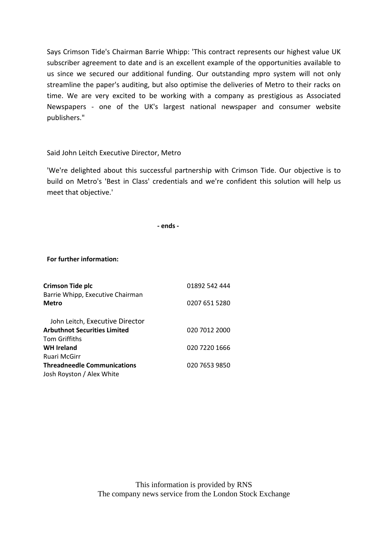Says Crimson Tide's Chairman Barrie Whipp: 'This contract represents our highest value UK subscriber agreement to date and is an excellent example of the opportunities available to us since we secured our additional funding. Our outstanding mpro system will not only streamline the paper's auditing, but also optimise the deliveries of Metro to their racks on time. We are very excited to be working with a company as prestigious as Associated Newspapers - one of the UK's largest national newspaper and consumer website publishers."

## Said John Leitch Executive Director, Metro

'We're delighted about this successful partnership with Crimson Tide. Our objective is to build on Metro's 'Best in Class' credentials and we're confident this solution will help us meet that objective.'

 **- ends -**

**For further information:**

| <b>Crimson Tide plc</b>                          | 01892 542 444 |
|--------------------------------------------------|---------------|
| Barrie Whipp, Executive Chairman<br><b>Metro</b> | 0207 651 5280 |
| John Leitch, Executive Director                  |               |
| <b>Arbuthnot Securities Limited</b>              | 020 7012 2000 |
| <b>Tom Griffiths</b>                             |               |
| <b>WH Ireland</b>                                | 020 7220 1666 |
| Ruari McGirr                                     |               |
| <b>Threadneedle Communications</b>               | 020 7653 9850 |
| Josh Royston / Alex White                        |               |